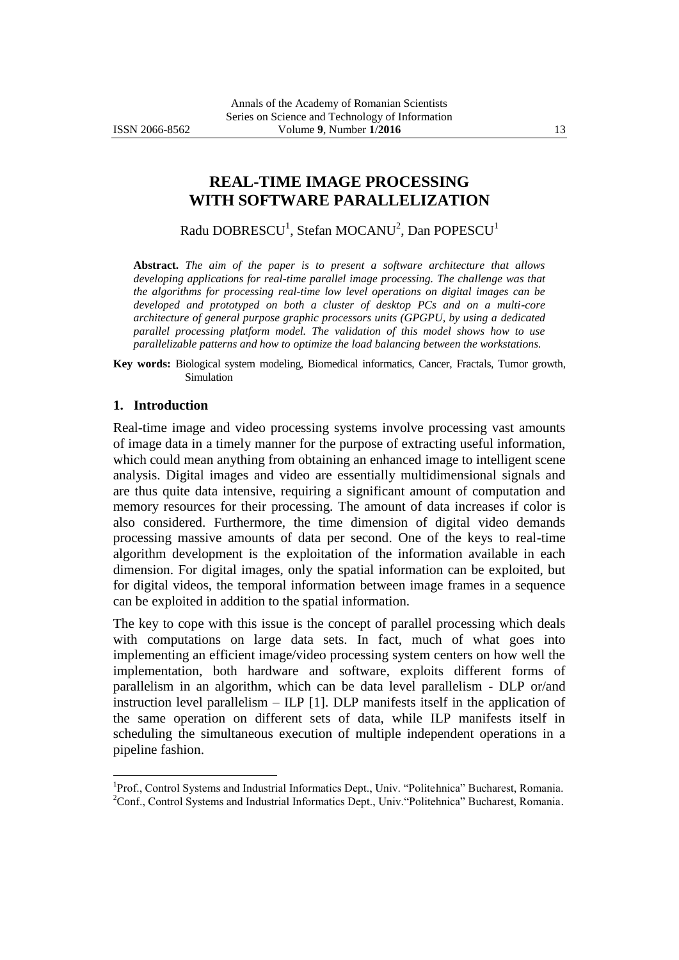# **REAL-TIME IMAGE PROCESSING WITH SOFTWARE PARALLELIZATION**

Radu DOBRESCU $^1$ , Stefan MOCANU $^2$ , Dan POPESCU $^1$ 

**Abstract.** *The aim of the paper is to present a software architecture that allows developing applications for real-time parallel image processing. The challenge was that the algorithms for processing real-time low level operations on digital images can be developed and prototyped on both a cluster of desktop PCs and on a multi-core architecture of general purpose graphic processors units (GPGPU, by using a dedicated parallel processing platform model. The validation of this model shows how to use parallelizable patterns and how to optimize the load balancing between the workstations.*

**Key words:** Biological system modeling, Biomedical informatics, Cancer, Fractals, Tumor growth, Simulation

### **1. Introduction**

 $\overline{a}$ 

Real-time image and video processing systems involve processing vast amounts of image data in a timely manner for the purpose of extracting useful information, which could mean anything from obtaining an enhanced image to intelligent scene analysis. Digital images and video are essentially multidimensional signals and are thus quite data intensive, requiring a significant amount of computation and memory resources for their processing. The amount of data increases if color is also considered. Furthermore, the time dimension of digital video demands processing massive amounts of data per second. One of the keys to real-time algorithm development is the exploitation of the information available in each dimension. For digital images, only the spatial information can be exploited, but for digital videos, the temporal information between image frames in a sequence can be exploited in addition to the spatial information.

The key to cope with this issue is the concept of parallel processing which deals with computations on large data sets. In fact, much of what goes into implementing an efficient image/video processing system centers on how well the implementation, both hardware and software, exploits different forms of parallelism in an algorithm, which can be data level parallelism - DLP or/and instruction level parallelism  $-$  ILP  $[1]$ . DLP manifests itself in the application of the same operation on different sets of data, while ILP manifests itself in scheduling the simultaneous execution of multiple independent operations in a pipeline fashion.

<sup>&</sup>lt;sup>1</sup>Prof., Control Systems and Industrial Informatics Dept., Univ. "Politehnica" Bucharest, Romania. <sup>2</sup>Conf., Control Systems and Industrial Informatics Dept., Univ. "Politehnica" Bucharest, Romania.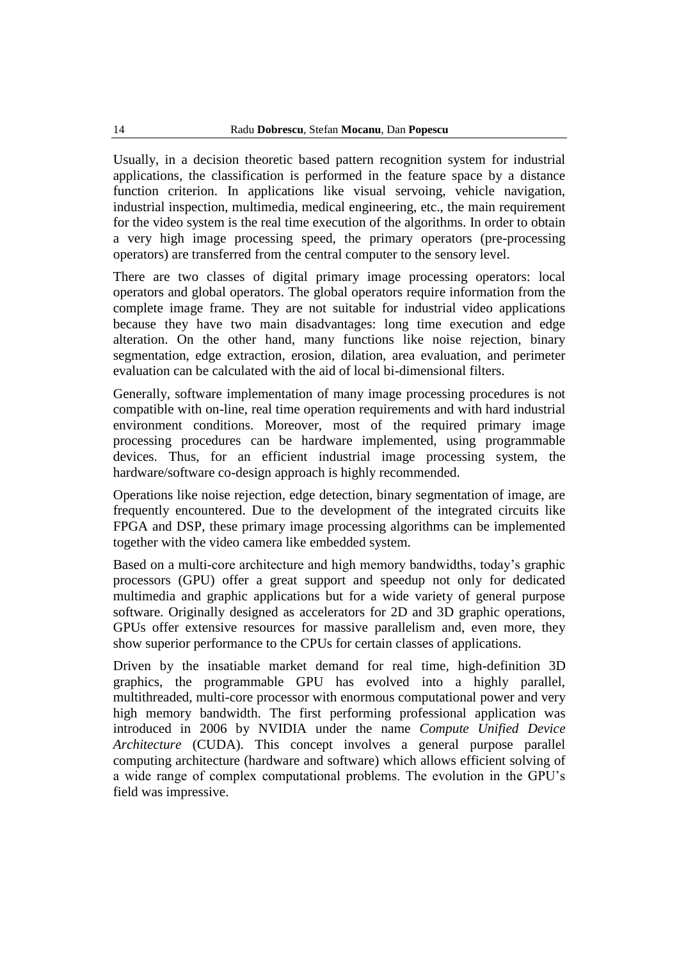Usually, in a decision theoretic based pattern recognition system for industrial applications, the classification is performed in the feature space by a distance function criterion. In applications like visual servoing, vehicle navigation, industrial inspection, multimedia, medical engineering, etc., the main requirement for the video system is the real time execution of the algorithms. In order to obtain a very high image processing speed, the primary operators (pre-processing operators) are transferred from the central computer to the sensory level.

There are two classes of digital primary image processing operators: local operators and global operators. The global operators require information from the complete image frame. They are not suitable for industrial video applications because they have two main disadvantages: long time execution and edge alteration. On the other hand, many functions like noise rejection, binary segmentation, edge extraction, erosion, dilation, area evaluation, and perimeter evaluation can be calculated with the aid of local bi-dimensional filters.

Generally, software implementation of many image processing procedures is not compatible with on-line, real time operation requirements and with hard industrial environment conditions. Moreover, most of the required primary image processing procedures can be hardware implemented, using programmable devices. Thus, for an efficient industrial image processing system, the hardware/software co-design approach is highly recommended.

Operations like noise rejection, edge detection, binary segmentation of image, are frequently encountered. Due to the development of the integrated circuits like FPGA and DSP, these primary image processing algorithms can be implemented together with the video camera like embedded system.

Based on a multi-core architecture and high memory bandwidths, today's graphic processors (GPU) offer a great support and speedup not only for dedicated multimedia and graphic applications but for a wide variety of general purpose software. Originally designed as accelerators for 2D and 3D graphic operations, GPUs offer extensive resources for massive parallelism and, even more, they show superior performance to the CPUs for certain classes of applications.

Driven by the insatiable market demand for real time, high-definition 3D graphics, the programmable GPU has evolved into a highly parallel, multithreaded, multi-core processor with enormous computational power and very high memory bandwidth. The first performing professional application was introduced in 2006 by NVIDIA under the name *Compute Unified Device Architecture* (CUDA). This concept involves a general purpose parallel computing architecture (hardware and software) which allows efficient solving of a wide range of complex computational problems. The evolution in the GPU's field was impressive.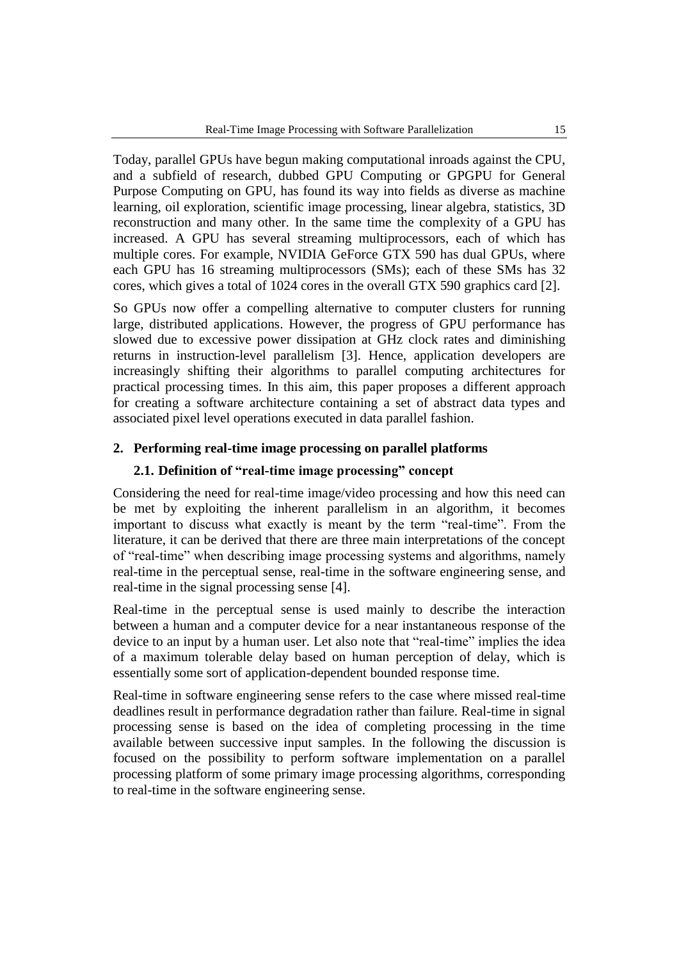Today, parallel GPUs have begun making computational inroads against the CPU, and a subfield of research, dubbed GPU Computing or GPGPU for General Purpose Computing on GPU, has found its way into fields as diverse as machine learning, oil exploration, scientific image processing, linear algebra, statistics, 3D reconstruction and many other. In the same time the complexity of a GPU has increased. A GPU has several streaming multiprocessors, each of which has multiple cores. For example, NVIDIA GeForce GTX 590 has dual GPUs, where each GPU has 16 streaming multiprocessors (SMs); each of these SMs has 32 cores, which gives a total of 1024 cores in the overall GTX 590 graphics card [2].

So GPUs now offer a compelling alternative to computer clusters for running large, distributed applications. However, the progress of GPU performance has slowed due to excessive power dissipation at GHz clock rates and diminishing returns in instruction-level parallelism [3]. Hence, application developers are increasingly shifting their algorithms to parallel computing architectures for practical processing times. In this aim, this paper proposes a different approach for creating a software architecture containing a set of abstract data types and associated pixel level operations executed in data parallel fashion.

# **2. Performing real-time image processing on parallel platforms**

### **2.1. Definition of "real-time image processing" concept**

Considering the need for real-time image/video processing and how this need can be met by exploiting the inherent parallelism in an algorithm, it becomes important to discuss what exactly is meant by the term "real-time". From the literature, it can be derived that there are three main interpretations of the concept of "real-time" when describing image processing systems and algorithms, namely real-time in the perceptual sense, real-time in the software engineering sense, and real-time in the signal processing sense [4].

Real-time in the perceptual sense is used mainly to describe the interaction between a human and a computer device for a near instantaneous response of the device to an input by a human user. Let also note that "real-time" implies the idea of a maximum tolerable delay based on human perception of delay, which is essentially some sort of application-dependent bounded response time.

Real-time in software engineering sense refers to the case where missed real-time deadlines result in performance degradation rather than failure. Real-time in signal processing sense is based on the idea of completing processing in the time available between successive input samples. In the following the discussion is focused on the possibility to perform software implementation on a parallel processing platform of some primary image processing algorithms, corresponding to real-time in the software engineering sense.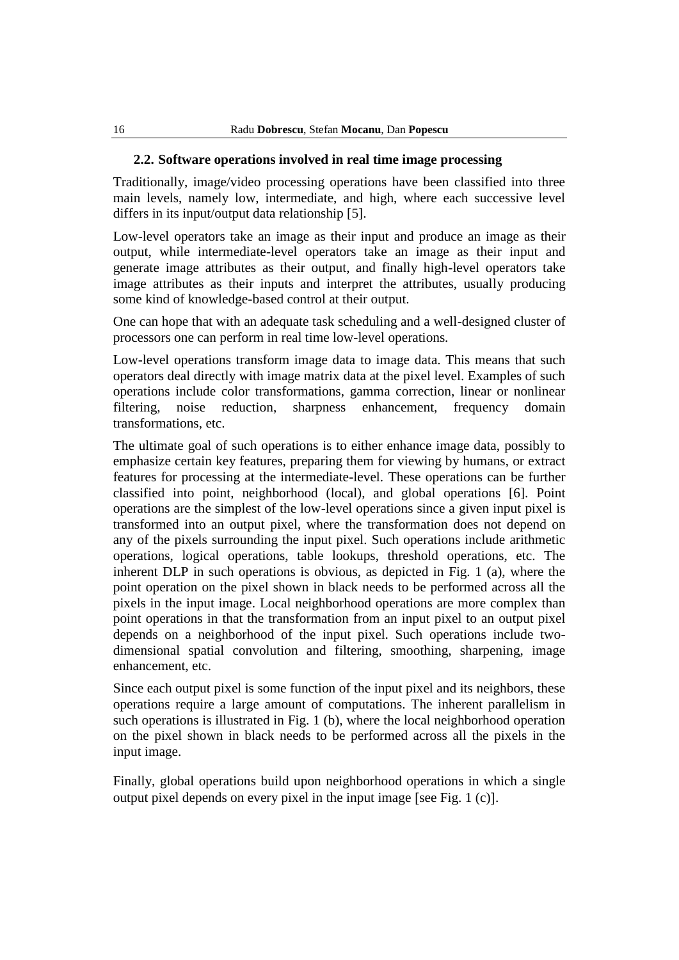### **2.2. Software operations involved in real time image processing**

Traditionally, image/video processing operations have been classified into three main levels, namely low, intermediate, and high, where each successive level differs in its input/output data relationship [5].

Low-level operators take an image as their input and produce an image as their output, while intermediate-level operators take an image as their input and generate image attributes as their output, and finally high-level operators take image attributes as their inputs and interpret the attributes, usually producing some kind of knowledge-based control at their output.

One can hope that with an adequate task scheduling and a well-designed cluster of processors one can perform in real time low-level operations*.* 

Low-level operations transform image data to image data. This means that such operators deal directly with image matrix data at the pixel level. Examples of such operations include color transformations, gamma correction, linear or nonlinear filtering, noise reduction, sharpness enhancement, frequency domain transformations, etc.

The ultimate goal of such operations is to either enhance image data, possibly to emphasize certain key features, preparing them for viewing by humans, or extract features for processing at the intermediate-level. These operations can be further classified into point, neighborhood (local), and global operations [6]. Point operations are the simplest of the low-level operations since a given input pixel is transformed into an output pixel, where the transformation does not depend on any of the pixels surrounding the input pixel. Such operations include arithmetic operations, logical operations, table lookups, threshold operations, etc. The inherent DLP in such operations is obvious, as depicted in Fig. 1 (a), where the point operation on the pixel shown in black needs to be performed across all the pixels in the input image. Local neighborhood operations are more complex than point operations in that the transformation from an input pixel to an output pixel depends on a neighborhood of the input pixel. Such operations include twodimensional spatial convolution and filtering, smoothing, sharpening, image enhancement, etc.

Since each output pixel is some function of the input pixel and its neighbors, these operations require a large amount of computations. The inherent parallelism in such operations is illustrated in Fig. 1 (b), where the local neighborhood operation on the pixel shown in black needs to be performed across all the pixels in the input image.

Finally, global operations build upon neighborhood operations in which a single output pixel depends on every pixel in the input image [see Fig.  $1$  (c)].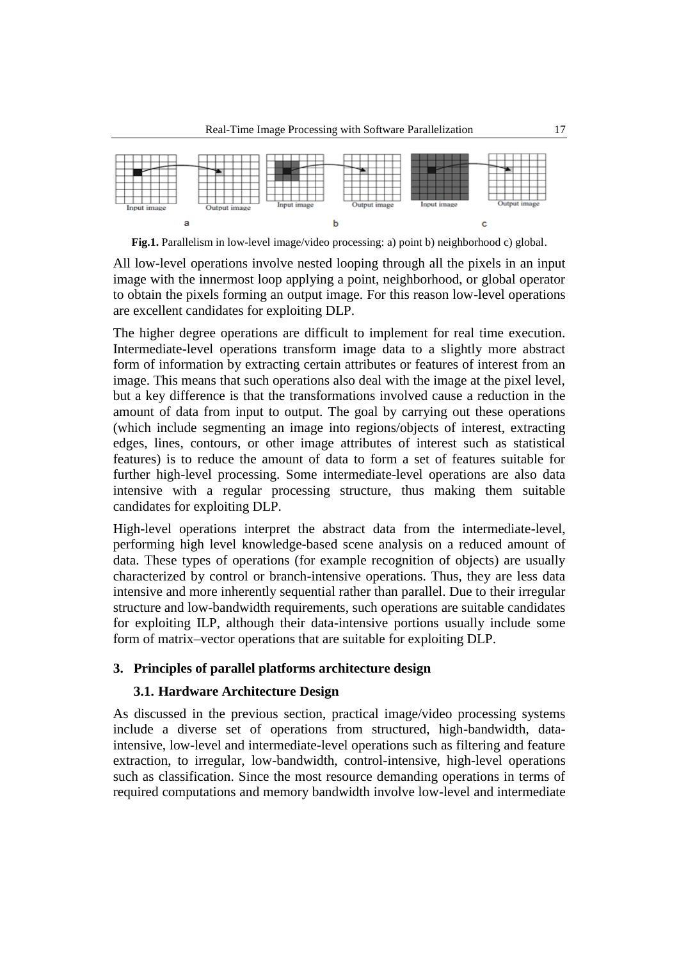

**Fig.1.** Parallelism in low-level image/video processing: a) point b) neighborhood c) global.

All low-level operations involve nested looping through all the pixels in an input image with the innermost loop applying a point, neighborhood, or global operator to obtain the pixels forming an output image. For this reason low-level operations are excellent candidates for exploiting DLP.

The higher degree operations are difficult to implement for real time execution. Intermediate-level operations transform image data to a slightly more abstract form of information by extracting certain attributes or features of interest from an image. This means that such operations also deal with the image at the pixel level, but a key difference is that the transformations involved cause a reduction in the amount of data from input to output. The goal by carrying out these operations (which include segmenting an image into regions/objects of interest, extracting edges, lines, contours, or other image attributes of interest such as statistical features) is to reduce the amount of data to form a set of features suitable for further high-level processing. Some intermediate-level operations are also data intensive with a regular processing structure, thus making them suitable candidates for exploiting DLP.

High-level operations interpret the abstract data from the intermediate-level, performing high level knowledge-based scene analysis on a reduced amount of data. These types of operations (for example recognition of objects) are usually characterized by control or branch-intensive operations. Thus, they are less data intensive and more inherently sequential rather than parallel. Due to their irregular structure and low-bandwidth requirements, such operations are suitable candidates for exploiting ILP, although their data-intensive portions usually include some form of matrix–vector operations that are suitable for exploiting DLP.

### **3. Principles of parallel platforms architecture design**

### **3.1. Hardware Architecture Design**

As discussed in the previous section, practical image/video processing systems include a diverse set of operations from structured, high-bandwidth, dataintensive, low-level and intermediate-level operations such as filtering and feature extraction, to irregular, low-bandwidth, control-intensive, high-level operations such as classification. Since the most resource demanding operations in terms of required computations and memory bandwidth involve low-level and intermediate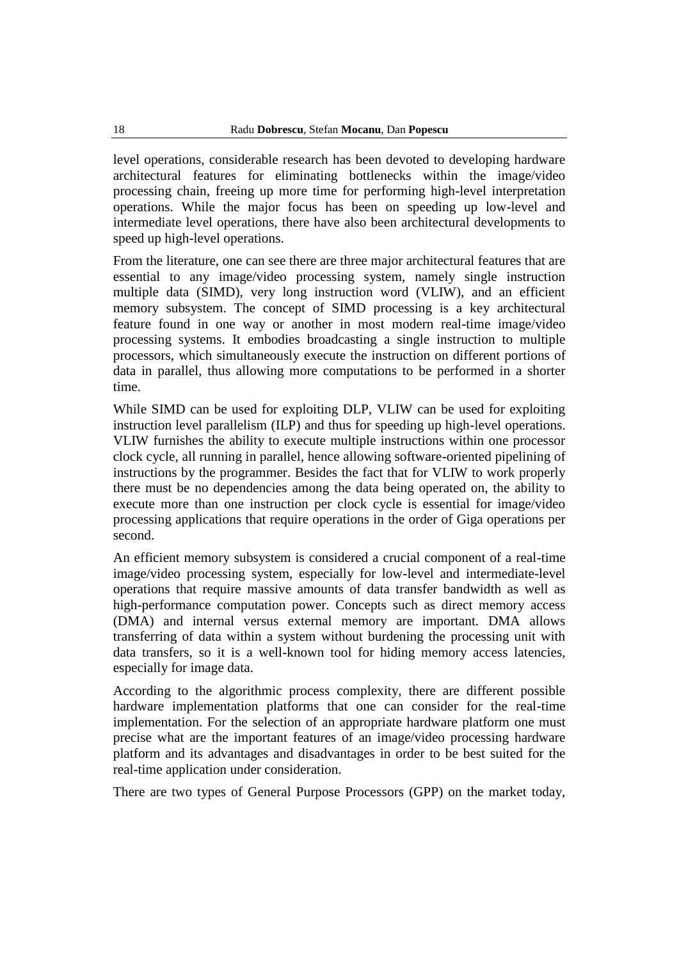level operations, considerable research has been devoted to developing hardware architectural features for eliminating bottlenecks within the image/video processing chain, freeing up more time for performing high-level interpretation operations. While the major focus has been on speeding up low-level and intermediate level operations, there have also been architectural developments to speed up high-level operations.

From the literature, one can see there are three major architectural features that are essential to any image/video processing system, namely single instruction multiple data (SIMD), very long instruction word (VLIW), and an efficient memory subsystem. The concept of SIMD processing is a key architectural feature found in one way or another in most modern real-time image/video processing systems. It embodies broadcasting a single instruction to multiple processors, which simultaneously execute the instruction on different portions of data in parallel, thus allowing more computations to be performed in a shorter time.

While SIMD can be used for exploiting DLP, VLIW can be used for exploiting instruction level parallelism (ILP) and thus for speeding up high-level operations. VLIW furnishes the ability to execute multiple instructions within one processor clock cycle, all running in parallel, hence allowing software-oriented pipelining of instructions by the programmer. Besides the fact that for VLIW to work properly there must be no dependencies among the data being operated on, the ability to execute more than one instruction per clock cycle is essential for image/video processing applications that require operations in the order of Giga operations per second.

An efficient memory subsystem is considered a crucial component of a real-time image/video processing system, especially for low-level and intermediate-level operations that require massive amounts of data transfer bandwidth as well as high-performance computation power. Concepts such as direct memory access (DMA) and internal versus external memory are important. DMA allows transferring of data within a system without burdening the processing unit with data transfers, so it is a well-known tool for hiding memory access latencies, especially for image data.

According to the algorithmic process complexity, there are different possible hardware implementation platforms that one can consider for the real-time implementation. For the selection of an appropriate hardware platform one must precise what are the important features of an image/video processing hardware platform and its advantages and disadvantages in order to be best suited for the real-time application under consideration.

There are two types of General Purpose Processors (GPP) on the market today,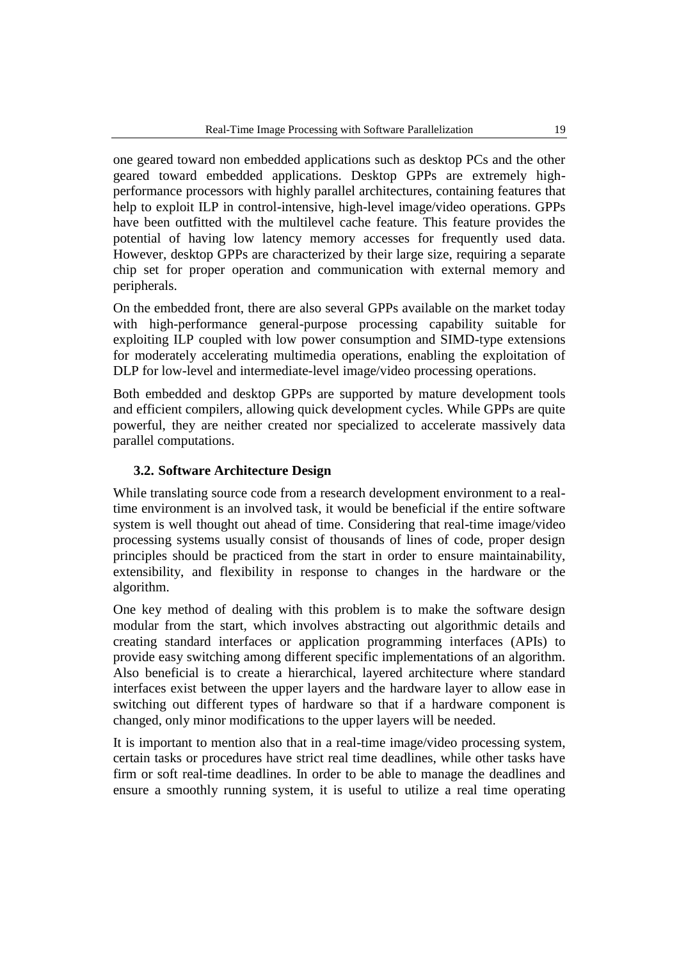one geared toward non embedded applications such as desktop PCs and the other geared toward embedded applications. Desktop GPPs are extremely highperformance processors with highly parallel architectures, containing features that help to exploit ILP in control-intensive, high-level image/video operations. GPPs have been outfitted with the multilevel cache feature. This feature provides the potential of having low latency memory accesses for frequently used data. However, desktop GPPs are characterized by their large size, requiring a separate chip set for proper operation and communication with external memory and peripherals.

On the embedded front, there are also several GPPs available on the market today with high-performance general-purpose processing capability suitable for exploiting ILP coupled with low power consumption and SIMD-type extensions for moderately accelerating multimedia operations, enabling the exploitation of DLP for low-level and intermediate-level image/video processing operations.

Both embedded and desktop GPPs are supported by mature development tools and efficient compilers, allowing quick development cycles. While GPPs are quite powerful, they are neither created nor specialized to accelerate massively data parallel computations.

# **3.2. Software Architecture Design**

While translating source code from a research development environment to a realtime environment is an involved task, it would be beneficial if the entire software system is well thought out ahead of time. Considering that real-time image/video processing systems usually consist of thousands of lines of code, proper design principles should be practiced from the start in order to ensure maintainability, extensibility, and flexibility in response to changes in the hardware or the algorithm.

One key method of dealing with this problem is to make the software design modular from the start, which involves abstracting out algorithmic details and creating standard interfaces or application programming interfaces (APIs) to provide easy switching among different specific implementations of an algorithm. Also beneficial is to create a hierarchical, layered architecture where standard interfaces exist between the upper layers and the hardware layer to allow ease in switching out different types of hardware so that if a hardware component is changed, only minor modifications to the upper layers will be needed.

It is important to mention also that in a real-time image/video processing system, certain tasks or procedures have strict real time deadlines, while other tasks have firm or soft real-time deadlines. In order to be able to manage the deadlines and ensure a smoothly running system, it is useful to utilize a real time operating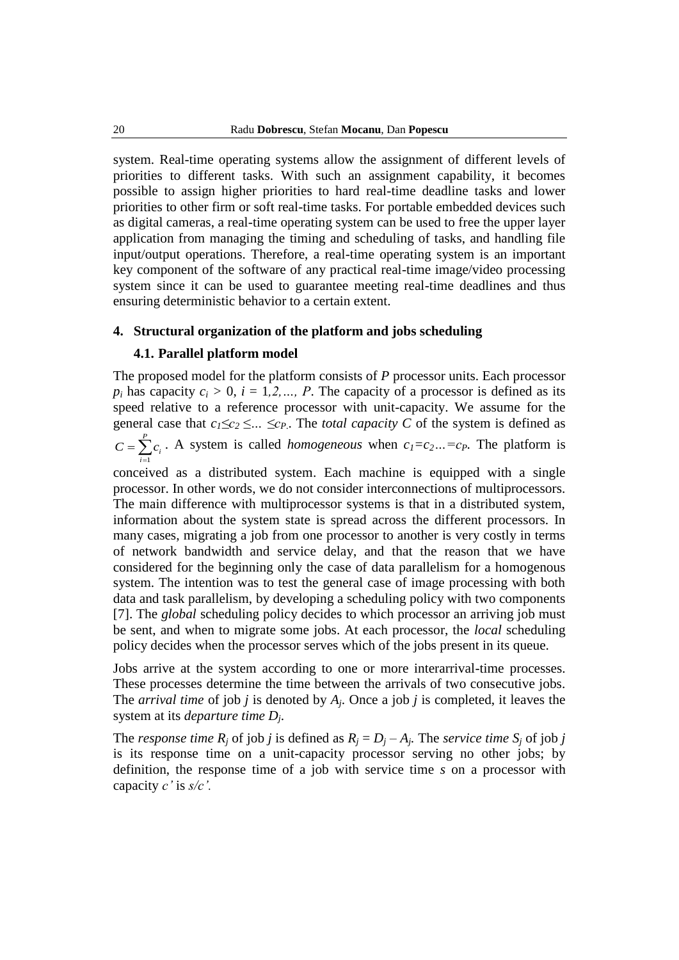system. Real-time operating systems allow the assignment of different levels of priorities to different tasks. With such an assignment capability, it becomes possible to assign higher priorities to hard real-time deadline tasks and lower priorities to other firm or soft real-time tasks. For portable embedded devices such as digital cameras, a real-time operating system can be used to free the upper layer application from managing the timing and scheduling of tasks, and handling file input/output operations. Therefore, a real-time operating system is an important key component of the software of any practical real-time image/video processing system since it can be used to guarantee meeting real-time deadlines and thus ensuring deterministic behavior to a certain extent.

#### **4. Structural organization of the platform and jobs scheduling**

#### **4.1. Parallel platform model**

The proposed model for the platform consists of *P* processor units. Each processor  $p_i$  has capacity  $c_i > 0$ ,  $i = 1, 2, ..., P$ . The capacity of a processor is defined as its speed relative to a reference processor with unit-capacity. We assume for the general case that  $c_1 \leq c_2 \leq ... \leq c_p$ . The *total capacity C* of the system is defined as

 $C = \sum_{i=1}^{P} c_i$ . A system is called *homogeneous* when  $c_1 = c_2 ... = c_P$ . The platform is *i* 1

conceived as a distributed system. Each machine is equipped with a single processor. In other words, we do not consider interconnections of multiprocessors. The main difference with multiprocessor systems is that in a distributed system, information about the system state is spread across the different processors. In many cases, migrating a job from one processor to another is very costly in terms of network bandwidth and service delay, and that the reason that we have considered for the beginning only the case of data parallelism for a homogenous system. The intention was to test the general case of image processing with both data and task parallelism, by developing a scheduling policy with two components [7]. The *global* scheduling policy decides to which processor an arriving job must be sent, and when to migrate some jobs. At each processor, the *local* scheduling policy decides when the processor serves which of the jobs present in its queue.

Jobs arrive at the system according to one or more interarrival-time processes. These processes determine the time between the arrivals of two consecutive jobs. The *arrival time* of job *j* is denoted by *A<sup>j</sup>* . Once a job *j* is completed, it leaves the system at its *departure time D<sup>j</sup>* .

The *response time*  $R_j$  of job *j* is defined as  $R_j = D_j - A_j$ . The *service time*  $S_j$  of job *j* is its response time on a unit-capacity processor serving no other jobs; by definition, the response time of a job with service time *s* on a processor with capacity *c'* is *s/c'.*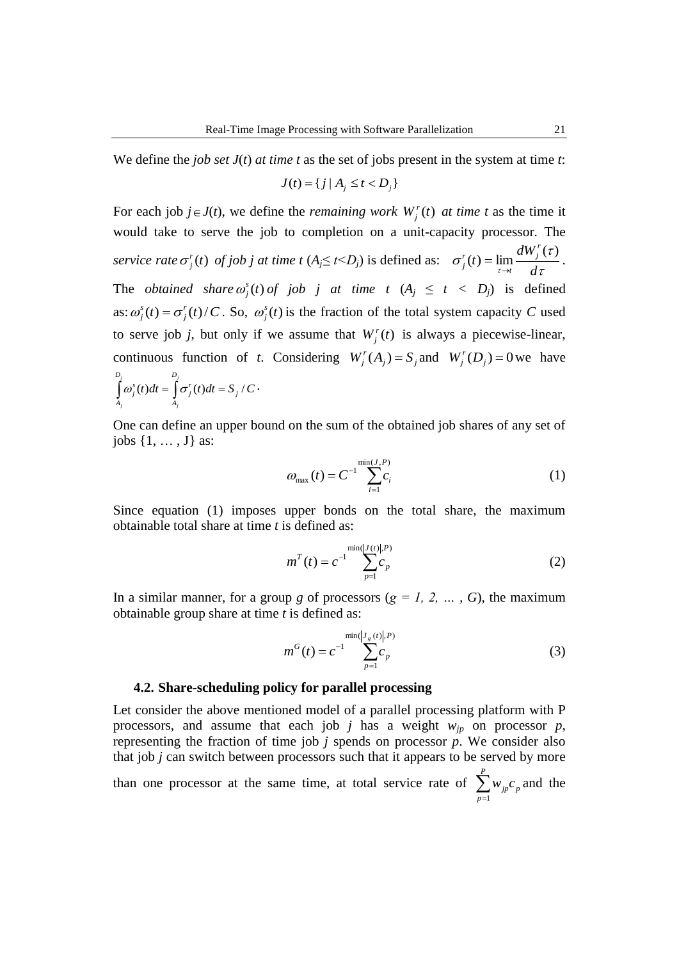We define the *job set J*(*t*) *at time t* as the set of jobs present in the system at time *t*:

$$
J(t) = \{ j \mid A_j \leq t < D_j \}
$$

For each job  $j \in J(t)$ , we define the *remaining work*  $W_i^r(t)$  $j(t)$  *at time t* as the time it would take to serve the job to completion on a unit-capacity processor. The *service rate*  $\sigma_j^r(t)$  *of job j at time t*  $(A_j \le t < D_j)$  is defined as:  $\sigma_j^r(t) = \lim_{t \to t} \frac{\sigma_j^r(t)}{dt}$  $\tau$  $\sigma_j(t) = \lim_{\tau \to t} \frac{dt}{dt}$ *dW t r j t r j*  $(\tau)$  $(t) = \lim_{\tau \to t} \frac{d\tau}{d\tau}.$ The *obtained* share  $\omega_j^s(t)$  *of job j at time t*  $(A_j \leq t < D_j)$  is defined as:  $\omega_i^s(t) = \sigma_i^r(t) / C$ *j*  $\omega_j^s(t) = \sigma_j^r(t) / C$ . So,  $\omega_j^s(t)$  is the fraction of the total system capacity *C* used to serve job *j*, but only if we assume that  $W_i^r(t)$  $j(t)$  is always a piecewise-linear, continuous function of *t*. Considering  $W_j^r(A_j) = S_j$  and  $W_j^r(D_j) = 0$  we have  $(t)dt = \int \sigma_j'(t)dt = S_j/C$ *D A r j D A s j j j*  $\int \omega_j^s(t)dt = \int \sigma_j^r(t)dt = S_j/C$ 

One can define an upper bound on the sum of the obtained job shares of any set of jobs  $\{1, \ldots, J\}$  as:

$$
\omega_{\max}(t) = C^{-1} \sum_{i=1}^{\min(J,P)} c_i
$$
 (1)

Since equation (1) imposes upper bonds on the total share, the maximum obtainable total share at time *t* is defined as:

$$
m^{T}(t) = c^{-1} \sum_{p=1}^{\min(|J(t)|, P)} c_{p}
$$
 (2)

In a similar manner, for a group *g* of processors ( $g = 1, 2, \ldots, G$ ), the maximum obtainable group share at time *t* is defined as:

$$
m^{G}(t) = c^{-1} \sum_{p=1}^{\min(|J_{g}(t)|, P)} C_{p}
$$
 (3)

#### **4.2. Share-scheduling policy for parallel processing**

*j*

*j*

Let consider the above mentioned model of a parallel processing platform with P processors, and assume that each job *j* has a weight  $w_{jp}$  on processor *p*, representing the fraction of time job *j* spends on processor *p*. We consider also that job *j* can switch between processors such that it appears to be served by more than one processor at the same time, at total service rate of  $\sum w_{jp}c_p$ *P*  $\sum_{p=1}$   $w_{jp}c$ and the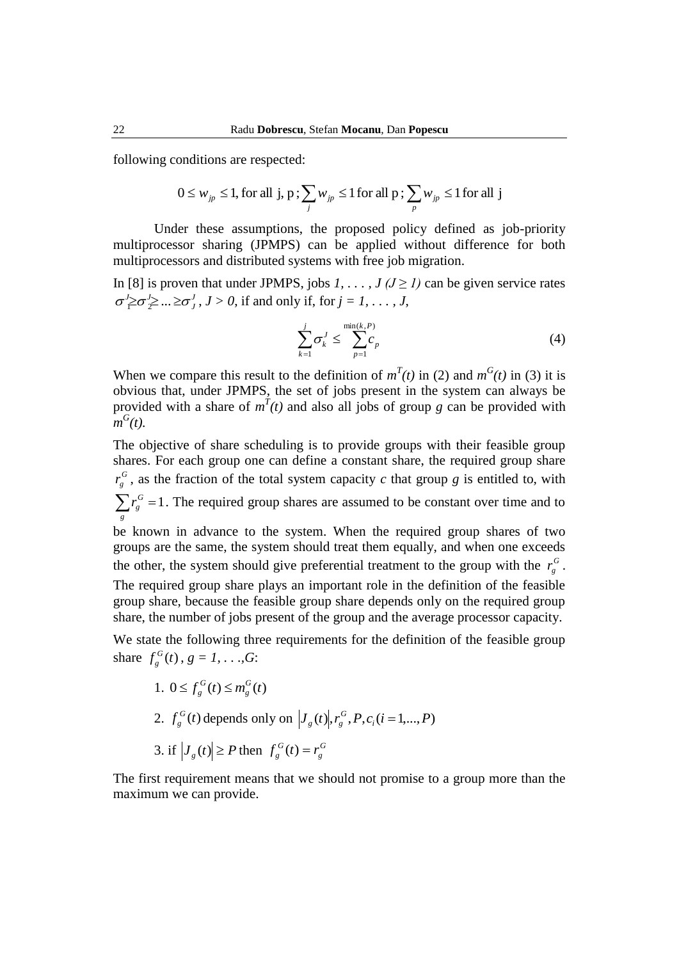following conditions are respected:

$$
0 \le w_{jp} \le 1
$$
, for all j, p;  $\sum_j w_{jp} \le 1$  for all p;  $\sum_p w_{jp} \le 1$  for all j

Under these assumptions, the proposed policy defined as job-priority multiprocessor sharing (JPMPS) can be applied without difference for both multiprocessors and distributed systems with free job migration.

In [8] is proven that under JPMPS, jobs  $1, \ldots, J (J \geq I)$  can be given service rates *J*  $\sigma' \geq \sigma' \geq ... \geq \sigma'_{j}$ ,  $J > 0$ , if and only if, for  $j = 1, ..., J$ ,

$$
\sum_{k=1}^{j} \sigma_k^j \le \sum_{p=1}^{\min(k, P)} c_p \tag{4}
$$

When we compare this result to the definition of  $m<sup>T</sup>(t)$  in (2) and  $m<sup>G</sup>(t)$  in (3) it is obvious that, under JPMPS, the set of jobs present in the system can always be provided with a share of  $m<sup>T</sup>(t)$  and also all jobs of group *g* can be provided with  $m^G(t)$ .

The objective of share scheduling is to provide groups with their feasible group shares. For each group one can define a constant share, the required group share *G*  $r_g^G$ , as the fraction of the total system capacity *c* that group *g* is entitled to, with  $\sum r_g^G = 1$ *g*  $r_g^G$  = 1. The required group shares are assumed to be constant over time and to

be known in advance to the system. When the required group shares of two groups are the same, the system should treat them equally, and when one exceeds the other, the system should give preferential treatment to the group with the  $r_e^G$  $r_{g}^{G}$  . The required group share plays an important role in the definition of the feasible

group share, because the feasible group share depends only on the required group share, the number of jobs present of the group and the average processor capacity.

We state the following three requirements for the definition of the feasible group share  $f_{\varrho}^G(t)$  $g_g^{G}(t)$ ,  $g = 1, ..., G$ :

\n- 1. 
$$
0 \leq f_s^G(t) \leq m_g^G(t)
$$
\n- 2.  $f_s^G(t)$  depends only on  $|J_g(t)|$ ,  $r_g^G$ ,  $P$ ,  $c_i$  ( $i = 1, \ldots, P$ )
\n- 3. if  $|J_g(t)| \geq P$  then  $f_g^G(t) = r_g^G$
\n

The first requirement means that we should not promise to a group more than the maximum we can provide.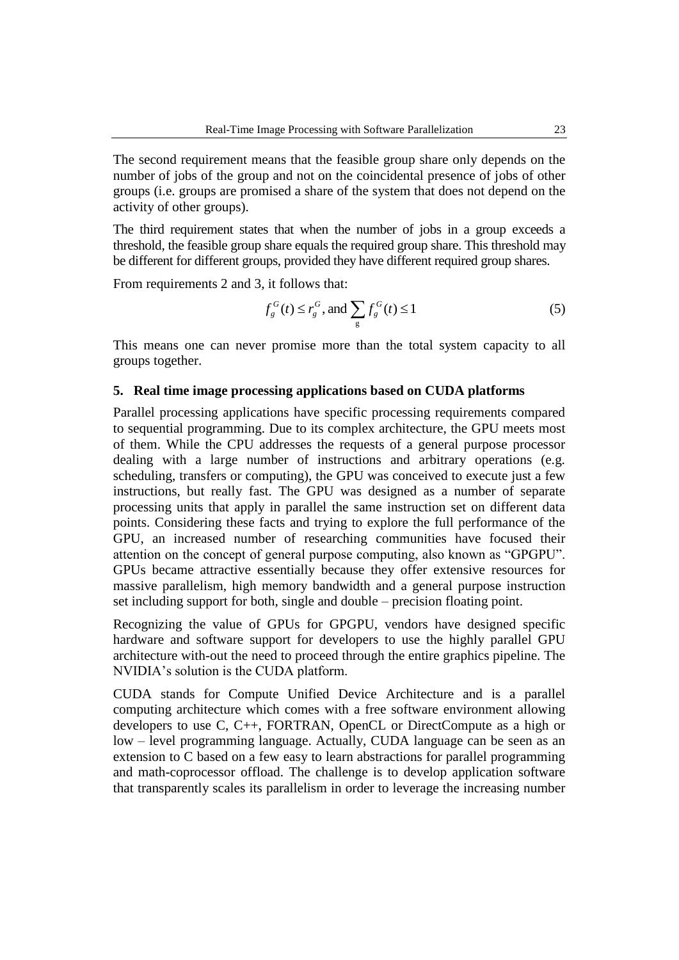The second requirement means that the feasible group share only depends on the number of jobs of the group and not on the coincidental presence of jobs of other groups (i.e. groups are promised a share of the system that does not depend on the activity of other groups).

The third requirement states that when the number of jobs in a group exceeds a threshold, the feasible group share equals the required group share. This threshold may be different for different groups, provided they have different required group shares.

From requirements 2 and 3, it follows that:

$$
f_g^G(t) \le r_g^G, \text{ and } \sum_g f_g^G(t) \le 1
$$
 (5)

This means one can never promise more than the total system capacity to all groups together.

#### **5. Real time image processing applications based on CUDA platforms**

Parallel processing applications have specific processing requirements compared to sequential programming. Due to its complex architecture, the GPU meets most of them. While the CPU addresses the requests of a general purpose processor dealing with a large number of instructions and arbitrary operations (e.g. scheduling, transfers or computing), the GPU was conceived to execute just a few instructions, but really fast. The GPU was designed as a number of separate processing units that apply in parallel the same instruction set on different data points. Considering these facts and trying to explore the full performance of the GPU, an increased number of researching communities have focused their attention on the concept of general purpose computing, also known as "GPGPU". GPUs became attractive essentially because they offer extensive resources for massive parallelism, high memory bandwidth and a general purpose instruction set including support for both, single and double – precision floating point.

Recognizing the value of GPUs for GPGPU, vendors have designed specific hardware and software support for developers to use the highly parallel GPU architecture with-out the need to proceed through the entire graphics pipeline. The NVIDIA's solution is the CUDA platform.

CUDA stands for Compute Unified Device Architecture and is a parallel computing architecture which comes with a free software environment allowing developers to use C, C++, FORTRAN, OpenCL or DirectCompute as a high or low – level programming language. Actually, CUDA language can be seen as an extension to C based on a few easy to learn abstractions for parallel programming and math-coprocessor offload. The challenge is to develop application software that transparently scales its parallelism in order to leverage the increasing number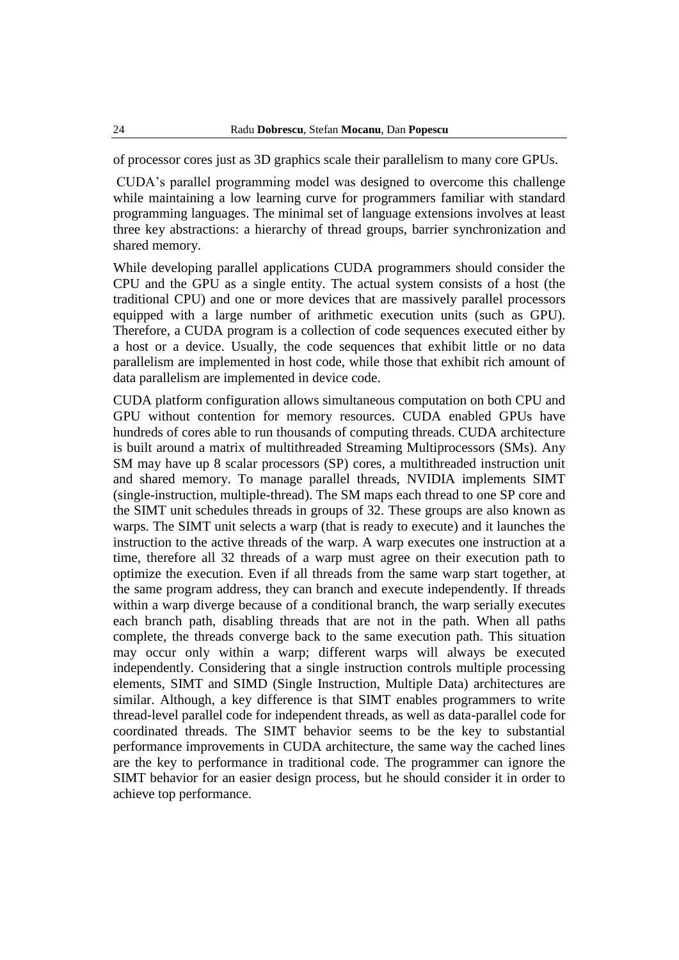of processor cores just as 3D graphics scale their parallelism to many core GPUs.

CUDA's parallel programming model was designed to overcome this challenge while maintaining a low learning curve for programmers familiar with standard programming languages. The minimal set of language extensions involves at least three key abstractions: a hierarchy of thread groups, barrier synchronization and shared memory.

While developing parallel applications CUDA programmers should consider the CPU and the GPU as a single entity. The actual system consists of a host (the traditional CPU) and one or more devices that are massively parallel processors equipped with a large number of arithmetic execution units (such as GPU). Therefore, a CUDA program is a collection of code sequences executed either by a host or a device. Usually, the code sequences that exhibit little or no data parallelism are implemented in host code, while those that exhibit rich amount of data parallelism are implemented in device code.

CUDA platform configuration allows simultaneous computation on both CPU and GPU without contention for memory resources. CUDA enabled GPUs have hundreds of cores able to run thousands of computing threads. CUDA architecture is built around a matrix of multithreaded Streaming Multiprocessors (SMs). Any SM may have up 8 scalar processors (SP) cores, a multithreaded instruction unit and shared memory. To manage parallel threads, NVIDIA implements SIMT (single-instruction, multiple-thread). The SM maps each thread to one SP core and the SIMT unit schedules threads in groups of 32. These groups are also known as warps. The SIMT unit selects a warp (that is ready to execute) and it launches the instruction to the active threads of the warp. A warp executes one instruction at a time, therefore all 32 threads of a warp must agree on their execution path to optimize the execution. Even if all threads from the same warp start together, at the same program address, they can branch and execute independently. If threads within a warp diverge because of a conditional branch, the warp serially executes each branch path, disabling threads that are not in the path. When all paths complete, the threads converge back to the same execution path. This situation may occur only within a warp; different warps will always be executed independently. Considering that a single instruction controls multiple processing elements, SIMT and SIMD (Single Instruction, Multiple Data) architectures are similar. Although, a key difference is that SIMT enables programmers to write thread-level parallel code for independent threads, as well as data-parallel code for coordinated threads. The SIMT behavior seems to be the key to substantial performance improvements in CUDA architecture, the same way the cached lines are the key to performance in traditional code. The programmer can ignore the SIMT behavior for an easier design process, but he should consider it in order to achieve top performance.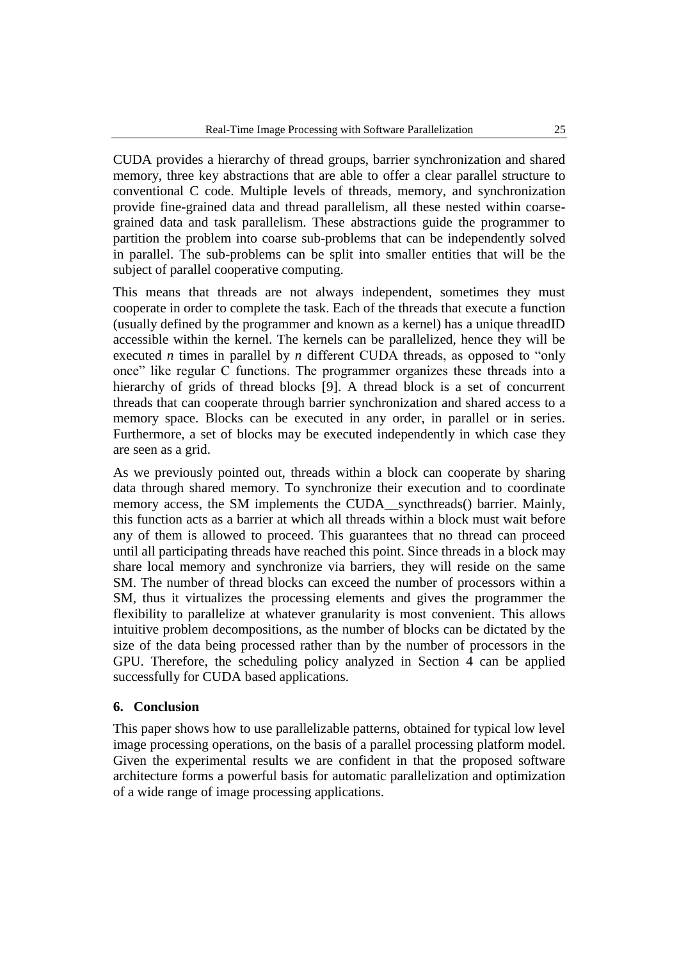CUDA provides a hierarchy of thread groups, barrier synchronization and shared memory, three key abstractions that are able to offer a clear parallel structure to conventional C code. Multiple levels of threads, memory, and synchronization provide fine-grained data and thread parallelism, all these nested within coarsegrained data and task parallelism. These abstractions guide the programmer to partition the problem into coarse sub-problems that can be independently solved in parallel. The sub-problems can be split into smaller entities that will be the subject of parallel cooperative computing.

This means that threads are not always independent, sometimes they must cooperate in order to complete the task. Each of the threads that execute a function (usually defined by the programmer and known as a kernel) has a unique threadID accessible within the kernel. The kernels can be parallelized, hence they will be executed *n* times in parallel by *n* different CUDA threads, as opposed to "only once" like regular C functions. The programmer organizes these threads into a hierarchy of grids of thread blocks [9]. A thread block is a set of concurrent threads that can cooperate through barrier synchronization and shared access to a memory space. Blocks can be executed in any order, in parallel or in series. Furthermore, a set of blocks may be executed independently in which case they are seen as a grid.

As we previously pointed out, threads within a block can cooperate by sharing data through shared memory. To synchronize their execution and to coordinate memory access, the SM implements the CUDA\_\_syncthreads() barrier. Mainly, this function acts as a barrier at which all threads within a block must wait before any of them is allowed to proceed. This guarantees that no thread can proceed until all participating threads have reached this point. Since threads in a block may share local memory and synchronize via barriers, they will reside on the same SM. The number of thread blocks can exceed the number of processors within a SM, thus it virtualizes the processing elements and gives the programmer the flexibility to parallelize at whatever granularity is most convenient. This allows intuitive problem decompositions, as the number of blocks can be dictated by the size of the data being processed rather than by the number of processors in the GPU. Therefore, the scheduling policy analyzed in Section 4 can be applied successfully for CUDA based applications.

### **6. Conclusion**

This paper shows how to use parallelizable patterns, obtained for typical low level image processing operations, on the basis of a parallel processing platform model. Given the experimental results we are confident in that the proposed software architecture forms a powerful basis for automatic parallelization and optimization of a wide range of image processing applications.